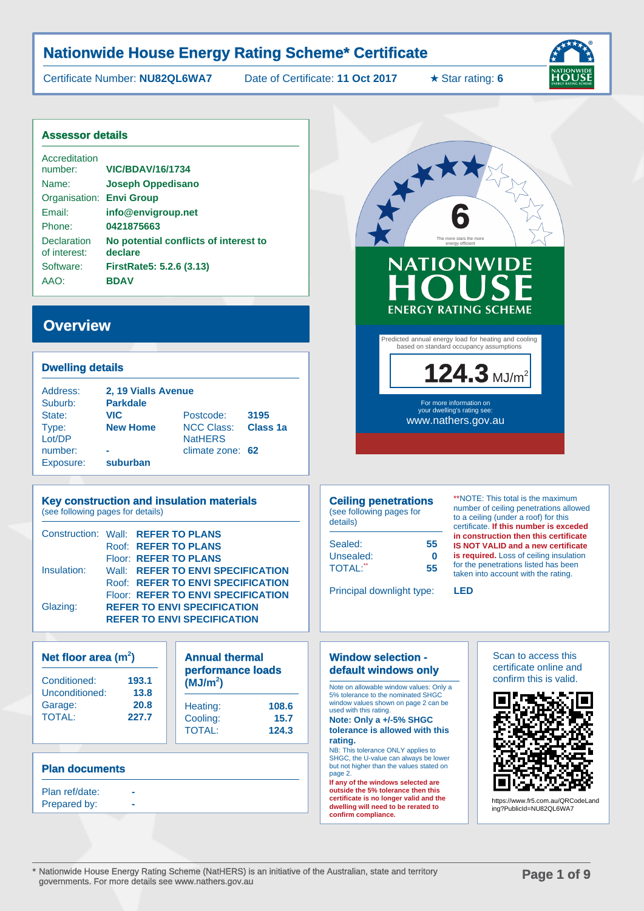Certificate Number: **NU82QL6WA7** Date of Certificate: **11 Oct 2017** ★ Star rating: **6**



#### **Assessor details**

| Accreditation<br>number:           | <b>VIC/BDAV/16/1734</b>                          |
|------------------------------------|--------------------------------------------------|
| Name:                              | <b>Joseph Oppedisano</b>                         |
| Organisation: Envi Group           |                                                  |
| Fmail:                             | info@envigroup.net                               |
| Phone:                             | 0421875663                                       |
| <b>Declaration</b><br>of interest: | No potential conflicts of interest to<br>declare |
| Software:                          | FirstRate5: 5.2.6 (3.13)                         |
| AAO:                               | <b>BDAV</b>                                      |

### **Overview**

#### **Dwelling details**

| Address:  | 2, 19 Vialls Avenue |                   |                      |  |
|-----------|---------------------|-------------------|----------------------|--|
| Suburb:   | <b>Parkdale</b>     |                   |                      |  |
| State:    | <b>VIC</b>          | Postcode:         | 3195                 |  |
| Type:     | <b>New Home</b>     | <b>NCC Class:</b> | Class <sub>1</sub> a |  |
| Lot/DP    |                     | <b>NatHERS</b>    |                      |  |
| number:   | ۰                   | climate zone: 62  |                      |  |
| Exposure: | suburban            |                   |                      |  |

### **Key construction and insulation materials**

(see following pages for details)

| Construction: Wall: REFER TO PLANS |  |                                    |
|------------------------------------|--|------------------------------------|
|                                    |  | Roof: REFER TO PLANS               |
|                                    |  | Floor: REFER TO PLANS              |
| Insulation:                        |  | Wall: REFER TO ENVI SPECIFICATION  |
|                                    |  | Roof: REFER TO ENVI SPECIFICATION  |
|                                    |  | Floor: REFER TO ENVI SPECIFICATION |
| Glazing:                           |  | <b>REFER TO ENVI SPECIFICATION</b> |
|                                    |  | <b>REFER TO ENVI SPECIFICATION</b> |

### **Net floor area (m<sup>2</sup> )** Conditioned: **193.1** Unconditioned: **13.8** Garage: **20.8** TOTAL: **227.7**

| <b>Annual thermal</b><br>performance loads<br>(MJ/m <sup>2</sup> ) |       |  |  |
|--------------------------------------------------------------------|-------|--|--|
| Heating:                                                           | 108.6 |  |  |
| Cooling:                                                           | 15.7  |  |  |
| <b>TOTAL:</b>                                                      | 124.3 |  |  |

#### **Plan documents**

Plan ref/date: Prepared by:



### **Ceiling penetrations**

(see following pages for details)

| Sealed:        | 55 |
|----------------|----|
| Unsealed:      | Λ  |
| <b>TOTAL:"</b> | 55 |

\*\*NOTE: This total is the maximum number of ceiling penetrations allowed to a ceiling (under a roof) for this certificate. **If this number is exceded in construction then this certificate IS NOT VALID and a new certificate is required.** Loss of ceiling insulation for the penetrations listed has been taken into account with the rating.

Principal downlight type: **LED**

**6**The more stars the more energy efficient

**NATIONWII** 

**KXX** 

Predicted annual energy load for heating and cooling based on standard occupancy assumptions

**ENERGY RATING SCHEME** 

124.3 MJ/m<sup>2</sup>

#### **Window selection default windows only**

Note on allowable window values: Only a 5% tolerance to the nominated SHGC window values shown on page 2 can be used with this rating.

**Note: Only a +/-5% SHGC tolerance is allowed with this rating.**

#### NB: This tolerance ONLY applies to

SHGC, the U-value can always be lower but not higher than the values stated on page 2.

**If any of the windows selected are outside the 5% tolerance then this certificate is no longer valid and the dwelling will need to be rerated to confirm compliance.**

#### Scan to access this certificate online and confirm this is valid.



https://www.fr5.com.au/QRCodeLand ing?PublicId=NU82QL6WA7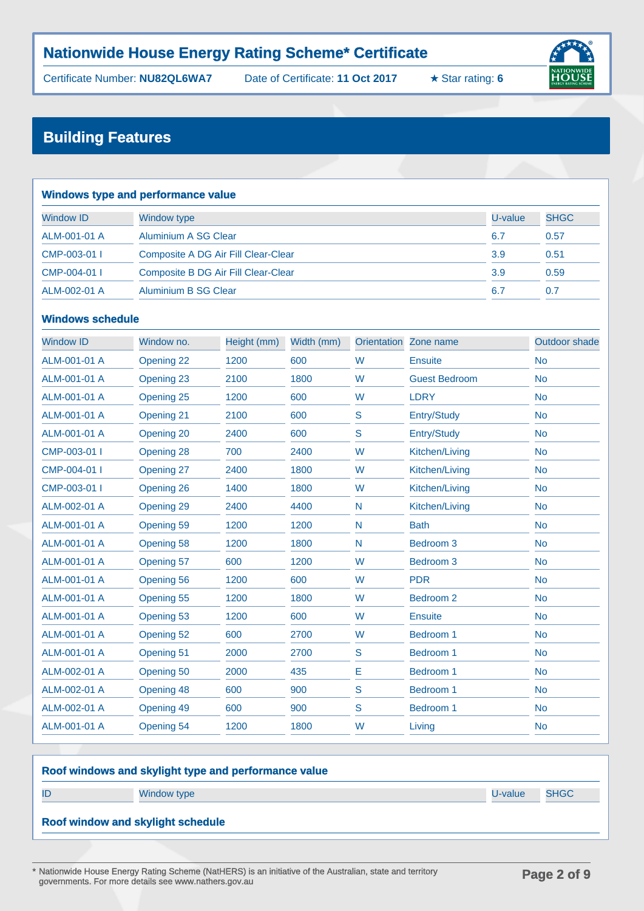Certificate Number: **NU82QL6WA7** Date of Certificate: **11 Oct 2017** ★ Star rating: **6**





### **Building Features**

| <b>Windows type and performance value</b>         |                                     |         |             |  |  |
|---------------------------------------------------|-------------------------------------|---------|-------------|--|--|
| <b>Window ID</b>                                  | <b>Window type</b>                  | U-value | <b>SHGC</b> |  |  |
| ALM-001-01 A                                      | Aluminium A SG Clear                | 6.7     | 0.57        |  |  |
| CMP-003-01                                        | Composite A DG Air Fill Clear-Clear | 3.9     | 0.51        |  |  |
| Composite B DG Air Fill Clear-Clear<br>CMP-004-01 |                                     | 3.9     | 0.59        |  |  |
| ALM-002-01 A                                      | Aluminium B SG Clear                | 6.7     | 0.7         |  |  |

### **Windows schedule**

| <b>Window ID</b> | Window no. | Height (mm) | Width (mm) | <b>Orientation</b> | Zone name            | <b>Outdoor shade</b> |
|------------------|------------|-------------|------------|--------------------|----------------------|----------------------|
| ALM-001-01 A     | Opening 22 | 1200        | 600        | W                  | <b>Ensuite</b>       | <b>No</b>            |
| ALM-001-01 A     | Opening 23 | 2100        | 1800       | W                  | <b>Guest Bedroom</b> | <b>No</b>            |
| ALM-001-01 A     | Opening 25 | 1200        | 600        | W                  | <b>LDRY</b>          | <b>No</b>            |
| ALM-001-01 A     | Opening 21 | 2100        | 600        | S                  | Entry/Study          | <b>No</b>            |
| ALM-001-01 A     | Opening 20 | 2400        | 600        | S                  | Entry/Study          | <b>No</b>            |
| CMP-003-01       | Opening 28 | 700         | 2400       | W                  | Kitchen/Living       | <b>No</b>            |
| CMP-004-01       | Opening 27 | 2400        | 1800       | W                  | Kitchen/Living       | <b>No</b>            |
| CMP-003-01       | Opening 26 | 1400        | 1800       | W                  | Kitchen/Living       | <b>No</b>            |
| ALM-002-01 A     | Opening 29 | 2400        | 4400       | N                  | Kitchen/Living       | <b>No</b>            |
| ALM-001-01 A     | Opening 59 | 1200        | 1200       | N                  | <b>Bath</b>          | <b>No</b>            |
| ALM-001-01 A     | Opening 58 | 1200        | 1800       | N                  | Bedroom <sub>3</sub> | <b>No</b>            |
| ALM-001-01 A     | Opening 57 | 600         | 1200       | W                  | Bedroom <sub>3</sub> | <b>No</b>            |
| ALM-001-01 A     | Opening 56 | 1200        | 600        | W                  | <b>PDR</b>           | <b>No</b>            |
| ALM-001-01 A     | Opening 55 | 1200        | 1800       | W                  | Bedroom 2            | <b>No</b>            |
| ALM-001-01 A     | Opening 53 | 1200        | 600        | W                  | <b>Ensuite</b>       | <b>No</b>            |
| ALM-001-01 A     | Opening 52 | 600         | 2700       | W                  | Bedroom 1            | <b>No</b>            |
| ALM-001-01 A     | Opening 51 | 2000        | 2700       | S                  | Bedroom 1            | <b>No</b>            |
| ALM-002-01 A     | Opening 50 | 2000        | 435        | Е                  | Bedroom 1            | <b>No</b>            |
| ALM-002-01 A     | Opening 48 | 600         | 900        | S                  | Bedroom 1            | <b>No</b>            |
| ALM-002-01 A     | Opening 49 | 600         | 900        | S                  | Bedroom 1            | <b>No</b>            |
| ALM-001-01 A     | Opening 54 | 1200        | 1800       | W                  | Living               | <b>No</b>            |

### **Roof windows and skylight type and performance value**

ID Window type U-value SHGC

**Roof window and skylight schedule**

\* Nationwide House Energy Rating Scheme (NatHERS) is an initiative of the Australian, state and territory governments. For more details see www.nathers.gov.au **Page 2 of 9**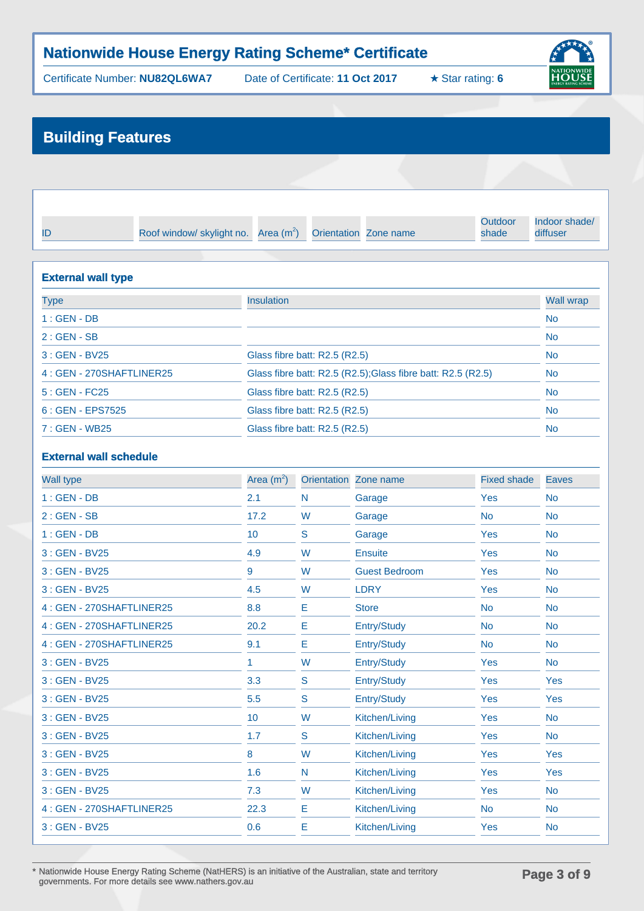Certificate Number: **NU82QL6WA7** Date of Certificate: **11 Oct 2017** ★ Star rating: **6**



# **Building Features**

| Roof window/ skylight no. $Area (m2)$ Orientation Zone name |  | Outdoor<br>shade | Indoor shade/<br>diffuser |
|-------------------------------------------------------------|--|------------------|---------------------------|

| <b>External wall type</b> |                                                              |                  |  |  |
|---------------------------|--------------------------------------------------------------|------------------|--|--|
| Type                      | Insulation                                                   | <b>Wall wrap</b> |  |  |
| $1:GEN-DB$                |                                                              | <b>No</b>        |  |  |
| $2:GEN - SB$              |                                                              | <b>No</b>        |  |  |
| $3:GEN - BV25$            | Glass fibre batt: R2.5 (R2.5)                                | <b>No</b>        |  |  |
| 4: GEN - 270SHAFTLINER25  | Glass fibre batt: R2.5 (R2.5); Glass fibre batt: R2.5 (R2.5) | <b>No</b>        |  |  |
| $5:GEN - FC25$            | Glass fibre batt: R2.5 (R2.5)                                | <b>No</b>        |  |  |
| 6 : GEN - EPS7525         | Glass fibre batt: R2.5 (R2.5)                                | <b>No</b>        |  |  |
| 7 : GEN - WB25            | Glass fibre batt: R2.5 (R2.5)                                | <b>No</b>        |  |  |

### **External wall schedule**

| <b>Wall type</b>         | Area $(m^2)$ |             | Orientation Zone name | <b>Fixed shade</b> | <b>Eaves</b> |
|--------------------------|--------------|-------------|-----------------------|--------------------|--------------|
| $1:GEN-DB$               | 2.1          | N           | Garage                | Yes                | <b>No</b>    |
| $2:GEN - SB$             | 17.2         | W           | Garage                | <b>No</b>          | <b>No</b>    |
| $1:GEN-DB$               | 10           | S           | Garage                | Yes                | <b>No</b>    |
| 3 : GEN - BV25           | 4.9          | W           | <b>Ensuite</b>        | Yes                | <b>No</b>    |
| 3 : GEN - BV25           | 9            | W           | <b>Guest Bedroom</b>  | <b>Yes</b>         | <b>No</b>    |
| 3 : GEN - BV25           | 4.5          | W           | <b>LDRY</b>           | Yes                | <b>No</b>    |
| 4: GEN - 270SHAFTLINER25 | 8.8          | E           | <b>Store</b>          | <b>No</b>          | <b>No</b>    |
| 4: GEN - 270SHAFTLINER25 | 20.2         | Е           | Entry/Study           | <b>No</b>          | <b>No</b>    |
| 4: GEN - 270SHAFTLINER25 | 9.1          | E           | Entry/Study           | <b>No</b>          | <b>No</b>    |
| 3 : GEN - BV25           | 1.           | W           | Entry/Study           | Yes                | <b>No</b>    |
| 3 : GEN - BV25           | 3.3          | S           | Entry/Study           | Yes                | <b>Yes</b>   |
| 3 : GEN - BV25           | 5.5          | S           | Entry/Study           | Yes                | <b>Yes</b>   |
| 3 : GEN - BV25           | 10           | W           | Kitchen/Living        | <b>Yes</b>         | <b>No</b>    |
| 3 : GEN - BV25           | 1.7          | $\mathbf S$ | Kitchen/Living        | Yes                | <b>No</b>    |
| 3 : GEN - BV25           | 8            | W           | Kitchen/Living        | <b>Yes</b>         | <b>Yes</b>   |
| 3 : GEN - BV25           | 1.6          | N           | Kitchen/Living        | Yes                | Yes          |
| 3 : GEN - BV25           | 7.3          | W           | Kitchen/Living        | Yes                | <b>No</b>    |
| 4: GEN - 270SHAFTLINER25 | 22.3         | E           | Kitchen/Living        | <b>No</b>          | <b>No</b>    |
| 3 : GEN - BV25           | 0.6          | Е           | Kitchen/Living        | Yes                | <b>No</b>    |
|                          |              |             |                       |                    |              |

\* Nationwide House Energy Rating Scheme (NatHERS) is an initiative of the Australian, state and territory governments. For more details see www.nathers.gov.au **Page 3 of 9**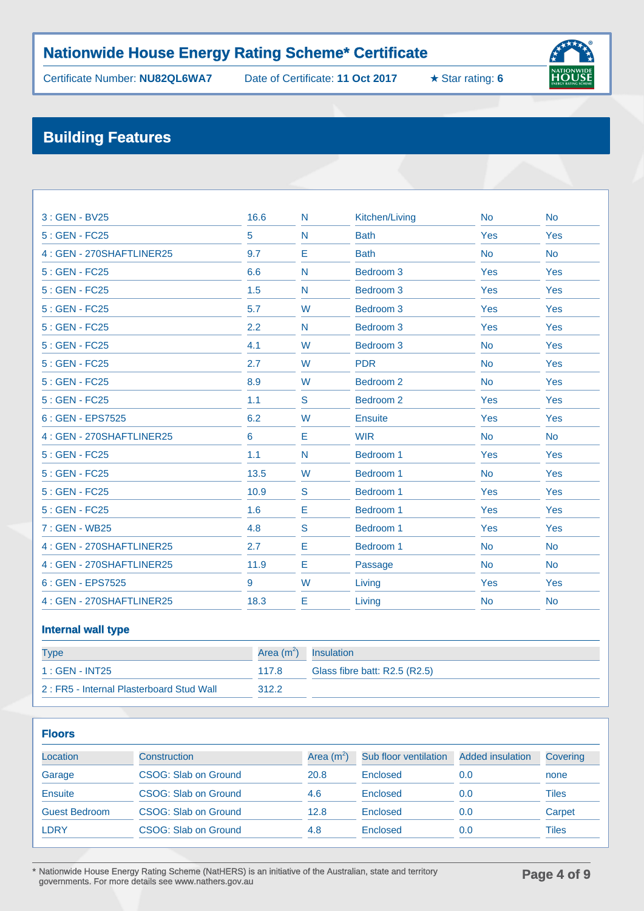Certificate Number: **NU82QL6WA7** Date of Certificate: **11 Oct 2017** ★ Star rating: **6**



# **Building Features**

| 3: GEN - BV25            | 16.6 | N | Kitchen/Living       | <b>No</b> | <b>No</b> |
|--------------------------|------|---|----------------------|-----------|-----------|
| 5 : GEN - FC25           | 5    | N | <b>Bath</b>          | Yes       | Yes       |
| 4: GEN - 270SHAFTLINER25 | 9.7  | Е | <b>Bath</b>          | <b>No</b> | <b>No</b> |
| $5:GEN - FC25$           | 6.6  | N | Bedroom <sub>3</sub> | Yes       | Yes       |
| 5 : GEN - FC25           | 1.5  | N | Bedroom <sub>3</sub> | Yes       | Yes       |
| 5: GEN - FC25            | 5.7  | W | Bedroom 3            | Yes       | Yes       |
| $5:GEN - FC25$           | 2.2  | N | Bedroom <sub>3</sub> | Yes       | Yes       |
| 5 : GEN - FC25           | 4.1  | W | Bedroom <sub>3</sub> | <b>No</b> | Yes       |
| 5 : GEN - FC25           | 2.7  | W | <b>PDR</b>           | <b>No</b> | Yes       |
| 5 : GEN - FC25           | 8.9  | W | Bedroom <sub>2</sub> | <b>No</b> | Yes       |
| $5:GEN - FC25$           | 1.1  | S | Bedroom <sub>2</sub> | Yes       | Yes       |
| 6 : GEN - EPS7525        | 6.2  | W | Ensuite              | Yes       | Yes       |
| 4: GEN - 270SHAFTLINER25 | 6    | Е | <b>WIR</b>           | <b>No</b> | <b>No</b> |
| $5:GEN - FC25$           | 1.1  | N | Bedroom 1            | Yes       | Yes       |
| 5 : GEN - FC25           | 13.5 | W | Bedroom 1            | <b>No</b> | Yes       |
| 5 : GEN - FC25           | 10.9 | S | Bedroom 1            | Yes       | Yes       |
| 5 : GEN - FC25           | 1.6  | Е | Bedroom 1            | Yes       | Yes       |
| 7: GEN - WB25            | 4.8  | S | Bedroom 1            | Yes       | Yes       |
| 4: GEN - 270SHAFTLINER25 | 2.7  | E | Bedroom 1            | <b>No</b> | <b>No</b> |
| 4: GEN - 270SHAFTLINER25 | 11.9 | Е | Passage              | <b>No</b> | <b>No</b> |
| 6 : GEN - EPS7525        | 9    | W | Living               | Yes       | Yes       |
| 4: GEN - 270SHAFTLINER25 | 18.3 | Е | Living               | <b>No</b> | <b>No</b> |
|                          |      |   |                      |           |           |

#### **Internal wall type**

| <b>Type</b>                              | Area $(m^2)$ Insulation |                               |
|------------------------------------------|-------------------------|-------------------------------|
| $1:GEN - INT25$                          | 117.8                   | Glass fibre batt: R2.5 (R2.5) |
| 2: FR5 - Internal Plasterboard Stud Wall | 312.2                   |                               |

| <b>Floors</b>        |                      |              |                       |                         |              |  |
|----------------------|----------------------|--------------|-----------------------|-------------------------|--------------|--|
| Location             | Construction         | Area $(m^2)$ | Sub floor ventilation | <b>Added insulation</b> | Covering     |  |
| Garage               | CSOG: Slab on Ground | 20.8         | Enclosed              | 0.0                     | none         |  |
| Ensuite              | CSOG: Slab on Ground | 4.6          | Enclosed              | 0.0                     | <b>Tiles</b> |  |
| <b>Guest Bedroom</b> | CSOG: Slab on Ground | 12.8         | Enclosed              | 0.0                     | Carpet       |  |
| LDRY                 | CSOG: Slab on Ground | 4.8          | Enclosed              | 0.0                     | Tiles        |  |

\* Nationwide House Energy Rating Scheme (NatHERS) is an initiative of the Australian, state and territory governments. For more details see www.nathers.gov.au **Page 4 of 9**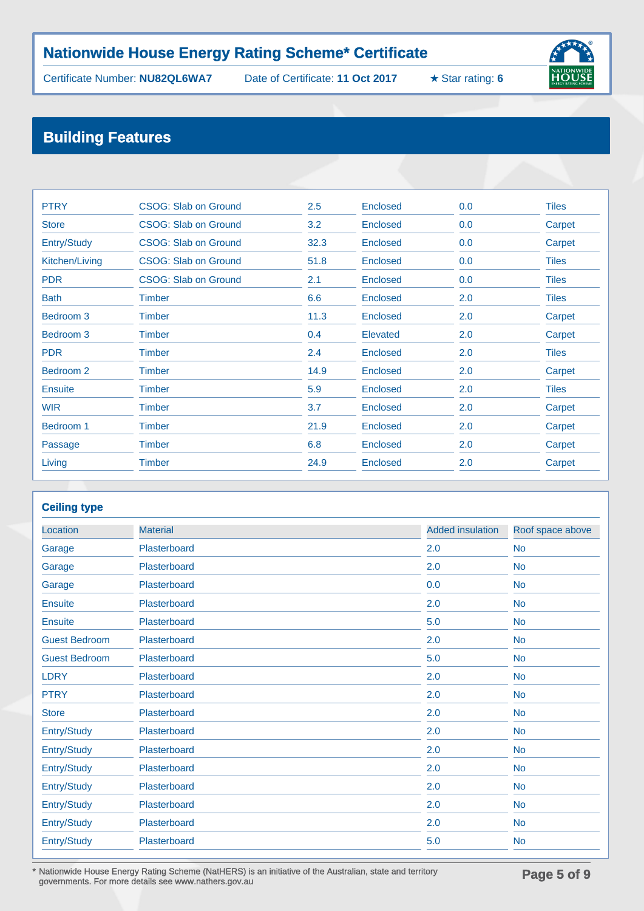Certificate Number: **NU82QL6WA7** Date of Certificate: **11 Oct 2017** ★ Star rating: **6**



# **Building Features**

| <b>PTRY</b>          | CSOG: Slab on Ground        | 2.5  | Enclosed        | 0.0 | <b>Tiles</b> |
|----------------------|-----------------------------|------|-----------------|-----|--------------|
| <b>Store</b>         | CSOG: Slab on Ground        | 3.2  | Enclosed        | 0.0 | Carpet       |
| Entry/Study          | CSOG: Slab on Ground        | 32.3 | Enclosed        | 0.0 | Carpet       |
| Kitchen/Living       | <b>CSOG: Slab on Ground</b> | 51.8 | Enclosed        | 0.0 | <b>Tiles</b> |
| <b>PDR</b>           | CSOG: Slab on Ground        | 2.1  | Enclosed        | 0.0 | <b>Tiles</b> |
| <b>Bath</b>          | <b>Timber</b>               | 6.6  | <b>Enclosed</b> | 2.0 | <b>Tiles</b> |
| Bedroom <sub>3</sub> | <b>Timber</b>               | 11.3 | Enclosed        | 2.0 | Carpet       |
| Bedroom <sub>3</sub> | <b>Timber</b>               | 0.4  | Elevated        | 2.0 | Carpet       |
| <b>PDR</b>           | <b>Timber</b>               | 2.4  | <b>Enclosed</b> | 2.0 | <b>Tiles</b> |
| Bedroom <sub>2</sub> | <b>Timber</b>               | 14.9 | <b>Enclosed</b> | 2.0 | Carpet       |
| <b>Ensuite</b>       | <b>Timber</b>               | 5.9  | Enclosed        | 2.0 | <b>Tiles</b> |
| <b>WIR</b>           | <b>Timber</b>               | 3.7  | Enclosed        | 2.0 | Carpet       |
| Bedroom 1            | <b>Timber</b>               | 21.9 | Enclosed        | 2.0 | Carpet       |
| Passage              | <b>Timber</b>               | 6.8  | Enclosed        | 2.0 | Carpet       |
| Living               | <b>Timber</b>               | 24.9 | <b>Enclosed</b> | 2.0 | Carpet       |

### **Ceiling type**

| <b>Material</b> | <b>Added insulation</b> | Roof space above |
|-----------------|-------------------------|------------------|
| Plasterboard    | 2.0                     | <b>No</b>        |
| Plasterboard    | 2.0                     | <b>No</b>        |
| Plasterboard    | 0.0                     | <b>No</b>        |
| Plasterboard    | 2.0                     | <b>No</b>        |
| Plasterboard    | 5.0                     | <b>No</b>        |
| Plasterboard    | 2.0                     | <b>No</b>        |
| Plasterboard    | 5.0                     | <b>No</b>        |
| Plasterboard    | 2.0                     | <b>No</b>        |
| Plasterboard    | 2.0                     | <b>No</b>        |
| Plasterboard    | 2.0                     | <b>No</b>        |
| Plasterboard    | 2.0                     | <b>No</b>        |
| Plasterboard    | 2.0                     | <b>No</b>        |
| Plasterboard    | 2.0                     | <b>No</b>        |
| Plasterboard    | 2.0                     | <b>No</b>        |
| Plasterboard    | 2.0                     | <b>No</b>        |
| Plasterboard    | 2.0                     | <b>No</b>        |
| Plasterboard    | 5.0                     | <b>No</b>        |
|                 |                         |                  |

\* Nationwide House Energy Rating Scheme (NatHERS) is an initiative of the Australian, state and territory governments. For more details see www.nathers.gov.au **Page 5 of 9**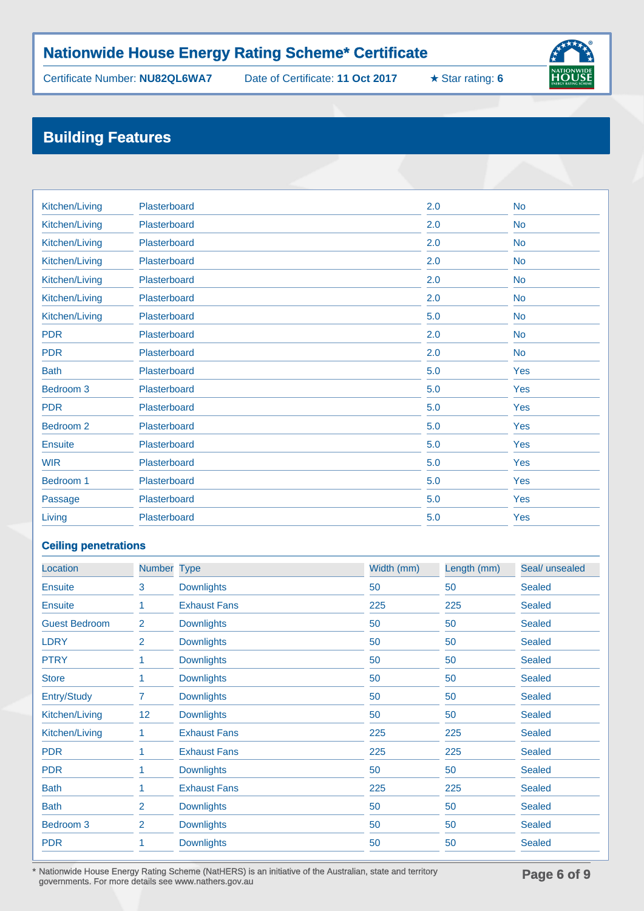Certificate Number: **NU82QL6WA7** Date of Certificate: **11 Oct 2017** ★ Star rating: **6**



# **Building Features**

| Kitchen/Living | Plasterboard | 2.0 | <b>No</b> |
|----------------|--------------|-----|-----------|
| Kitchen/Living | Plasterboard | 2.0 | <b>No</b> |
| Kitchen/Living | Plasterboard | 2.0 | <b>No</b> |
| Kitchen/Living | Plasterboard | 2.0 | <b>No</b> |
| Kitchen/Living | Plasterboard | 2.0 | <b>No</b> |
| Kitchen/Living | Plasterboard | 2.0 | <b>No</b> |
| Kitchen/Living | Plasterboard | 5.0 | <b>No</b> |
| <b>PDR</b>     | Plasterboard | 2.0 | <b>No</b> |
| <b>PDR</b>     | Plasterboard | 2.0 | <b>No</b> |
| <b>Bath</b>    | Plasterboard | 5.0 | Yes       |
| Bedroom 3      | Plasterboard | 5.0 | Yes       |
| <b>PDR</b>     | Plasterboard | 5.0 | Yes       |
| Bedroom 2      | Plasterboard | 5.0 | Yes       |
| <b>Ensuite</b> | Plasterboard | 5.0 | Yes       |
| <b>WIR</b>     | Plasterboard | 5.0 | Yes       |
| Bedroom 1      | Plasterboard | 5.0 | Yes       |
| Passage        | Plasterboard | 5.0 | Yes       |
| Living         | Plasterboard | 5.0 | Yes       |

### **Ceiling penetrations**

| Location             | <b>Number</b>  | <b>Type</b>         | Width (mm) | Length (mm) | Seal/ unsealed |
|----------------------|----------------|---------------------|------------|-------------|----------------|
| <b>Ensuite</b>       | 3              | <b>Downlights</b>   | 50         | 50          | <b>Sealed</b>  |
| <b>Ensuite</b>       |                | <b>Exhaust Fans</b> | 225        | 225         | <b>Sealed</b>  |
| <b>Guest Bedroom</b> | $\overline{2}$ | <b>Downlights</b>   | 50         | 50          | <b>Sealed</b>  |
| <b>LDRY</b>          | 2              | <b>Downlights</b>   | 50         | 50          | <b>Sealed</b>  |
| <b>PTRY</b>          | 1              | <b>Downlights</b>   | 50         | 50          | <b>Sealed</b>  |
| <b>Store</b>         |                | <b>Downlights</b>   | 50         | 50          | <b>Sealed</b>  |
| Entry/Study          | 7              | <b>Downlights</b>   | 50         | 50          | <b>Sealed</b>  |
| Kitchen/Living       | 12             | <b>Downlights</b>   | 50         | 50          | <b>Sealed</b>  |
| Kitchen/Living       | 1              | <b>Exhaust Fans</b> | 225        | 225         | <b>Sealed</b>  |
| <b>PDR</b>           |                | <b>Exhaust Fans</b> | 225        | 225         | <b>Sealed</b>  |
| <b>PDR</b>           |                | <b>Downlights</b>   | 50         | 50          | <b>Sealed</b>  |
| <b>Bath</b>          | 1              | <b>Exhaust Fans</b> | 225        | 225         | <b>Sealed</b>  |
| <b>Bath</b>          | 2              | <b>Downlights</b>   | 50         | 50          | <b>Sealed</b>  |
| Bedroom <sub>3</sub> | $\overline{2}$ | <b>Downlights</b>   | 50         | 50          | <b>Sealed</b>  |
| <b>PDR</b>           |                | <b>Downlights</b>   | 50         | 50          | <b>Sealed</b>  |

\* Nationwide House Energy Rating Scheme (NatHERS) is an initiative of the Australian, state and territory governments. For more details see www.nathers.gov.au **Page 6 of 9**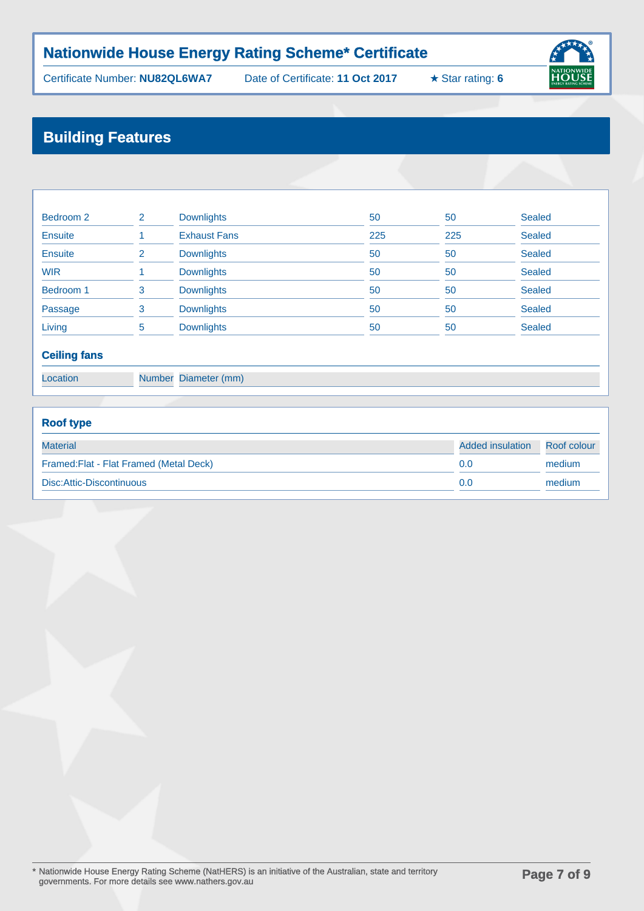Certificate Number: **NU82QL6WA7** Date of Certificate: **11 Oct 2017** ★ Star rating: **6**



# **Building Features**

| Bedroom 2      | 2  | <b>Downlights</b>   | 50  | 50  | Sealed        |
|----------------|----|---------------------|-----|-----|---------------|
| <b>Ensuite</b> |    | <b>Exhaust Fans</b> | 225 | 225 | <b>Sealed</b> |
| <b>Ensuite</b> |    | <b>Downlights</b>   | 50  | 50  | <b>Sealed</b> |
| <b>WIR</b>     |    | <b>Downlights</b>   | 50  | 50  | <b>Sealed</b> |
| Bedroom 1      | 3  | <b>Downlights</b>   | 50  | 50  | <b>Sealed</b> |
| Passage        | 3  | <b>Downlights</b>   | 50  | 50  | <b>Sealed</b> |
| Living         | 5. | <b>Downlights</b>   | 50  | 50  | <b>Sealed</b> |

### **Ceiling fans**

Location Number Diameter (mm)

# **Roof type** Material Added insulation Roof colour Framed:Flat - Flat Framed (Metal Deck) 0.0 medium Disc:Attic-Discontinuous 0.0 medium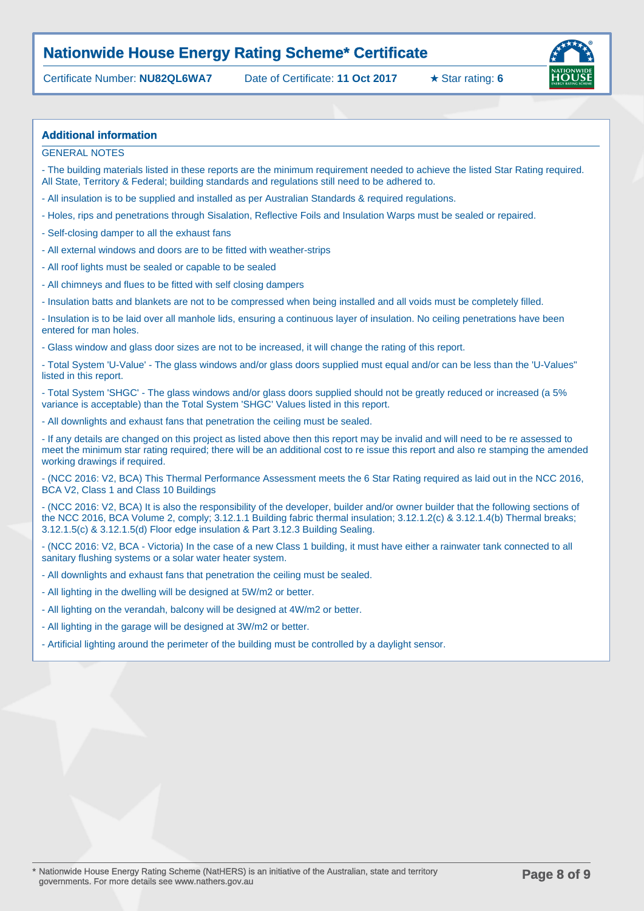Certificate Number: **NU82QL6WA7** Date of Certificate: **11 Oct 2017** ★ Star rating: **6**



#### **Additional information**

GENERAL NOTES

- The building materials listed in these reports are the minimum requirement needed to achieve the listed Star Rating required. All State, Territory & Federal; building standards and regulations still need to be adhered to.

- All insulation is to be supplied and installed as per Australian Standards & required regulations.
- Holes, rips and penetrations through Sisalation, Reflective Foils and Insulation Warps must be sealed or repaired.
- Self-closing damper to all the exhaust fans
- All external windows and doors are to be fitted with weather-strips
- All roof lights must be sealed or capable to be sealed
- All chimneys and flues to be fitted with self closing dampers

- Insulation batts and blankets are not to be compressed when being installed and all voids must be completely filled.

- Insulation is to be laid over all manhole lids, ensuring a continuous layer of insulation. No ceiling penetrations have been entered for man holes.

- Glass window and glass door sizes are not to be increased, it will change the rating of this report.

- Total System 'U-Value' - The glass windows and/or glass doors supplied must equal and/or can be less than the 'U-Values" listed in this report.

- Total System 'SHGC' - The glass windows and/or glass doors supplied should not be greatly reduced or increased (a 5% variance is acceptable) than the Total System 'SHGC' Values listed in this report.

- All downlights and exhaust fans that penetration the ceiling must be sealed.

- If any details are changed on this project as listed above then this report may be invalid and will need to be re assessed to meet the minimum star rating required; there will be an additional cost to re issue this report and also re stamping the amended working drawings if required.

- (NCC 2016: V2, BCA) This Thermal Performance Assessment meets the 6 Star Rating required as laid out in the NCC 2016, BCA V2, Class 1 and Class 10 Buildings

- (NCC 2016: V2, BCA) It is also the responsibility of the developer, builder and/or owner builder that the following sections of the NCC 2016, BCA Volume 2, comply; 3.12.1.1 Building fabric thermal insulation; 3.12.1.2(c) & 3.12.1.4(b) Thermal breaks; 3.12.1.5(c) & 3.12.1.5(d) Floor edge insulation & Part 3.12.3 Building Sealing.

- (NCC 2016: V2, BCA - Victoria) In the case of a new Class 1 building, it must have either a rainwater tank connected to all sanitary flushing systems or a solar water heater system.

- All downlights and exhaust fans that penetration the ceiling must be sealed.
- All lighting in the dwelling will be designed at 5W/m2 or better.
- All lighting on the verandah, balcony will be designed at 4W/m2 or better.
- All lighting in the garage will be designed at 3W/m2 or better.
- Artificial lighting around the perimeter of the building must be controlled by a daylight sensor.